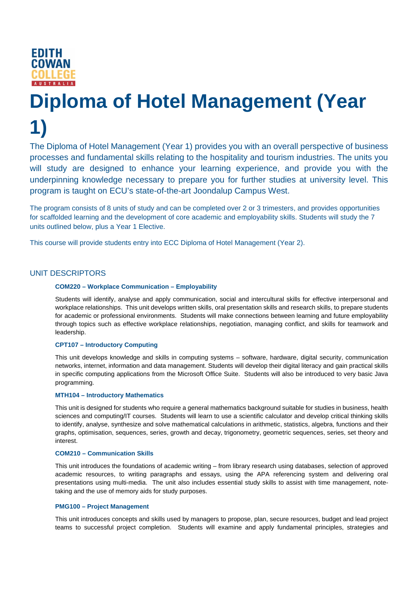

# **Diploma of Hotel Management (Year 1)**

The Diploma of Hotel Management (Year 1) provides you with an overall perspective of business processes and fundamental skills relating to the hospitality and tourism industries. The units you will study are designed to enhance your learning experience, and provide you with the underpinning knowledge necessary to prepare you for further studies at university level. This program is taught on ECU's state-of-the-art Joondalup Campus West.

The program consists of 8 units of study and can be completed over 2 or 3 trimesters, and provides opportunities for scaffolded learning and the development of core academic and employability skills. Students will study the 7 units outlined below, plus a Year 1 Elective.

This course will provide students entry into ECC Diploma of Hotel Management (Year 2).

# UNIT DESCRIPTORS

## **COM220 – Workplace Communication – Employability**

Students will identify, analyse and apply communication, social and intercultural skills for effective interpersonal and workplace relationships. This unit develops written skills, oral presentation skills and research skills, to prepare students for academic or professional environments. Students will make connections between learning and future employability through topics such as effective workplace relationships, negotiation, managing conflict, and skills for teamwork and leadership.

## **CPT107 – Introductory Computing**

This unit develops knowledge and skills in computing systems – software, hardware, digital security, communication networks, internet, information and data management. Students will develop their digital literacy and gain practical skills in specific computing applications from the Microsoft Office Suite. Students will also be introduced to very basic Java programming.

#### **MTH104 – Introductory Mathematics**

This unit is designed for students who require a general mathematics background suitable for studies in business, health sciences and computing/IT courses. Students will learn to use a scientific calculator and develop critical thinking skills to identify, analyse, synthesize and solve mathematical calculations in arithmetic, statistics, algebra, functions and their graphs, optimisation, sequences, series, growth and decay, trigonometry, geometric sequences, series, set theory and interest.

#### **COM210 – Communication Skills**

This unit introduces the foundations of academic writing – from library research using databases, selection of approved academic resources, to writing paragraphs and essays, using the APA referencing system and delivering oral presentations using multi-media. The unit also includes essential study skills to assist with time management, notetaking and the use of memory aids for study purposes.

#### **PMG100 – Project Management**

This unit introduces concepts and skills used by managers to propose, plan, secure resources, budget and lead project teams to successful project completion. Students will examine and apply fundamental principles, strategies and